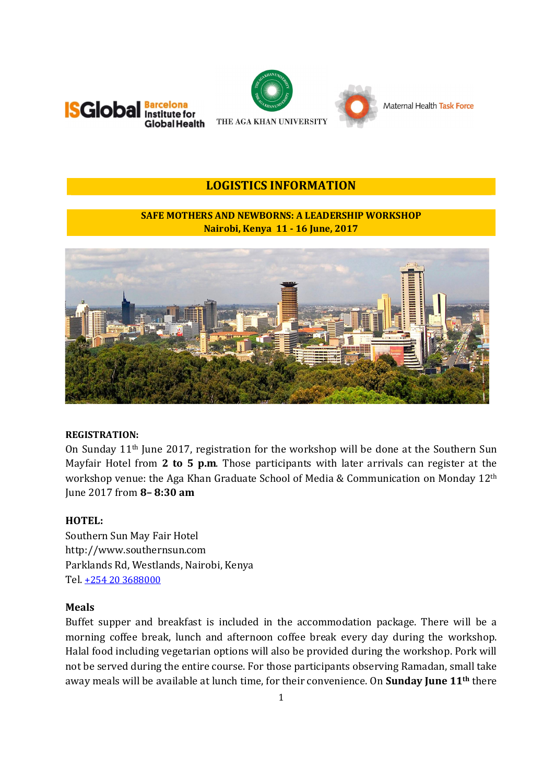



# **LOGISTICS INFORMATION**

# **SAFE MOTHERS AND NEWBORNS: A LEADERSHIP WORKSHOP Nairobi, Kenya 11 - 16 June, 2017**



#### **REGISTRATION:**

On Sunday 11th June 2017, registration for the workshop will be done at the Southern Sun Mayfair Hotel from **2 to 5 p.m**. Those participants with later arrivals can register at the workshop venue: the Aga Khan Graduate School of Media & Communication on Monday 12th June 2017 from **8– 8:30 am**

#### **HOTEL:**

Southern Sun May Fair Hotel http://www.southernsun.com Parklands Rd, Westlands, Nairobi, Kenya Tel. +254 20 3688000

#### **Meals**

Buffet supper and breakfast is included in the accommodation package. There will be a morning coffee break, lunch and afternoon coffee break every day during the workshop. Halal food including vegetarian options will also be provided during the workshop. Pork will not be served during the entire course. For those participants observing Ramadan, small take away meals will be available at lunch time, for their convenience. On **Sunday June 11th** there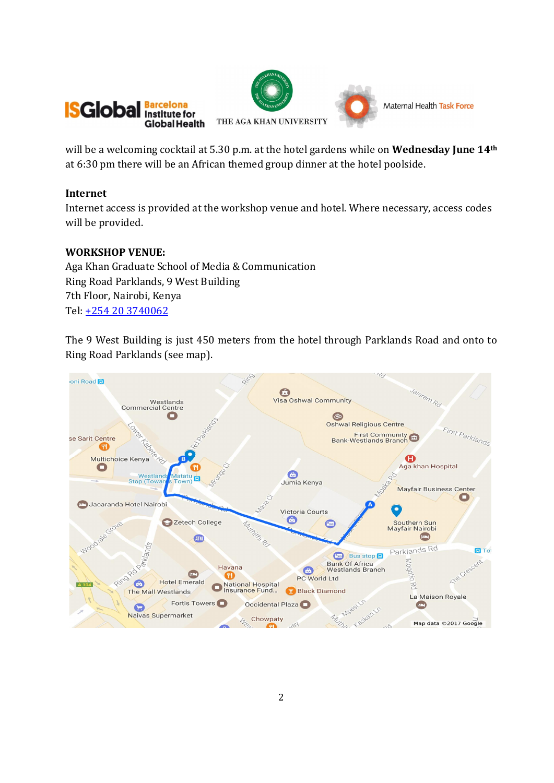



will be a welcoming cocktail at 5.30 p.m. at the hotel gardens while on **Wednesday June 14th** at 6:30 pm there will be an African themed group dinner at the hotel poolside.

# **Internet**

Internet access is provided at the workshop venue and hotel. Where necessary, access codes will be provided.

# **WORKSHOP VENUE:**

Aga Khan Graduate School of Media & Communication Ring Road Parklands, 9 West Building 7th Floor, Nairobi, Kenya Tel: +254 20 3740062

The 9 West Building is just 450 meters from the hotel through Parklands Road and onto to Ring Road Parklands (see map).

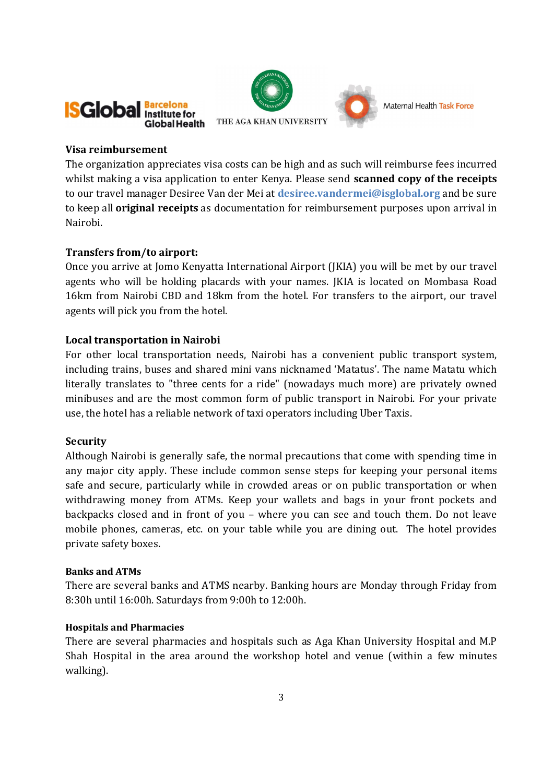



#### **Visa reimbursement**

The organization appreciates visa costs can be high and as such will reimburse fees incurred whilst making a visa application to enter Kenya. Please send **scanned copy of the receipts** to our travel manager Desiree Van der Mei at **desiree.vandermei@isglobal.org** and be sure to keep all **original receipts** as documentation for reimbursement purposes upon arrival in Nairobi.

# **Transfers from/to airport:**

Once you arrive at Jomo Kenyatta International Airport (JKIA) you will be met by our travel agents who will be holding placards with your names. JKIA is located on Mombasa Road 16km from Nairobi CBD and 18km from the hotel. For transfers to the airport, our travel agents will pick you from the hotel.

# **Local transportation in Nairobi**

For other local transportation needs, Nairobi has a convenient public transport system, including trains, buses and shared mini vans nicknamed 'Matatus'. The name Matatu which literally translates to "three cents for a ride" (nowadays much more) are privately owned minibuses and are the most common form of public transport in Nairobi. For your private use, the hotel has a reliable network of taxi operators including Uber Taxis.

# **Security**

Although Nairobi is generally safe, the normal precautions that come with spending time in any major city apply. These include common sense steps for keeping your personal items safe and secure, particularly while in crowded areas or on public transportation or when withdrawing money from ATMs. Keep your wallets and bags in your front pockets and backpacks closed and in front of you – where you can see and touch them. Do not leave mobile phones, cameras, etc. on your table while you are dining out. The hotel provides private safety boxes.

# **Banks and ATMs**

There are several banks and ATMS nearby. Banking hours are Monday through Friday from 8:30h until 16:00h. Saturdays from 9:00h to 12:00h.

# **Hospitals and Pharmacies**

There are several pharmacies and hospitals such as Aga Khan University Hospital and M.P Shah Hospital in the area around the workshop hotel and venue (within a few minutes walking).